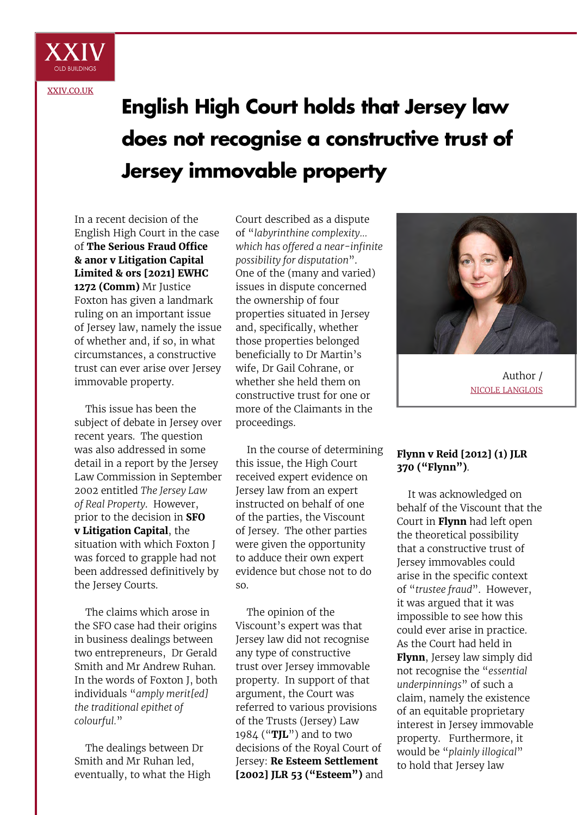

[XXIV.CO.UK](http://xxiv.co.uk)

# **English High Court holds that Jersey law does not recognise a constructive trust of Jersey immovable property**

In a recent decision of the English High Court in the case of **The Serious Fraud Office & anor v Litigation Capital Limited & ors [2021] EWHC 1272 (Comm)** Mr Justice Foxton has given a landmark ruling on an important issue of Jersey law, namely the issue of whether and, if so, in what circumstances, a constructive trust can ever arise over Jersey immovable property.

This issue has been the subject of debate in Jersey over recent years. The question was also addressed in some detail in a report by the Jersey Law Commission in September 2002 entitled *The Jersey Law of Real Property*. However, prior to the decision in **SFO v Litigation Capital**, the situation with which Foxton J was forced to grapple had not been addressed definitively by the Jersey Courts.

The claims which arose in the SFO case had their origins in business dealings between two entrepreneurs, Dr Gerald Smith and Mr Andrew Ruhan. In the words of Foxton J, both individuals "*amply merit[ed] the traditional epithet of colourful.*"

The dealings between Dr Smith and Mr Ruhan led, eventually, to what the High Court described as a dispute of "*labyrinthine complexity… which has offered a near-infinite possibility for disputation*". One of the (many and varied) issues in dispute concerned the ownership of four properties situated in Jersey and, specifically, whether those properties belonged beneficially to Dr Martin's wife, Dr Gail Cohrane, or whether she held them on constructive trust for one or more of the Claimants in the proceedings.

In the course of determining this issue, the High Court received expert evidence on Jersey law from an expert instructed on behalf of one of the parties, the Viscount of Jersey. The other parties were given the opportunity to adduce their own expert evidence but chose not to do so.

The opinion of the Viscount's expert was that Jersey law did not recognise any type of constructive trust over Jersey immovable property. In support of that argument, the Court was referred to various provisions of the Trusts (Jersey) Law 1984 ("**TJL**") and to two decisions of the Royal Court of Jersey: **Re Esteem Settlement [2002] JLR 53 ("Esteem")** and



Author / NICOLE LANGLOIS

## **Flynn v Reid [2012] (1) JLR 370 ("Flynn")**.

It was acknowledged on behalf of the Viscount that the Court in **Flynn** had left open the theoretical possibility that a constructive trust of Jersey immovables could arise in the specific context of "*trustee fraud*". However, it was argued that it was impossible to see how this could ever arise in practice. As the Court had held in **Flynn**, Jersey law simply did not recognise the "*essential underpinnings*" of such a claim, namely the existence of an equitable proprietary interest in Jersey immovable property. Furthermore, it would be "*plainly illogical*" to hold that Jersey law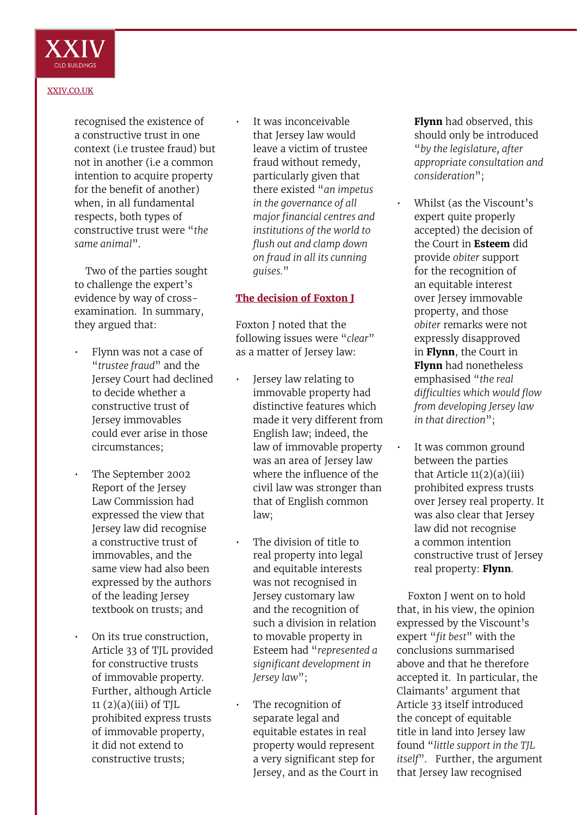

#### [XXIV.CO.UK](http://xxiv.co.uk)

recognised the existence of a constructive trust in one context (i.e trustee fraud) but not in another (i.e a common intention to acquire property for the benefit of another) when, in all fundamental respects, both types of constructive trust were "*the same animal*".

Two of the parties sought to challenge the expert's evidence by way of crossexamination. In summary, they argued that:

- Flynn was not a case of "*trustee fraud*" and the Jersey Court had declined to decide whether a constructive trust of Jersey immovables could ever arise in those circumstances;
- The September 2002 Report of the Jersey Law Commission had expressed the view that Jersey law did recognise a constructive trust of immovables, and the same view had also been expressed by the authors of the leading Jersey textbook on trusts; and
- On its true construction, Article 33 of TJL provided for constructive trusts of immovable property. Further, although Article  $11 (2)(a)(iii)$  of TJL prohibited express trusts of immovable property, it did not extend to constructive trusts;

It was inconceivable that Jersey law would leave a victim of trustee fraud without remedy, particularly given that there existed "*an impetus in the governance of all major financial centres and institutions of the world to flush out and clamp down on fraud in all its cunning guises.*"

## **The decision of Foxton J**

Foxton J noted that the following issues were "*clear*" as a matter of Jersey law:

- Jersey law relating to immovable property had distinctive features which made it very different from English law; indeed, the law of immovable property was an area of Jersey law where the influence of the civil law was stronger than that of English common law;
- The division of title to real property into legal and equitable interests was not recognised in Jersey customary law and the recognition of such a division in relation to movable property in Esteem had "*represented a significant development in Jersey law*";
- The recognition of separate legal and equitable estates in real property would represent a very significant step for Jersey, and as the Court in

**Flynn** had observed, this should only be introduced "*by the legislature, after appropriate consultation and consideration*";

- Whilst (as the Viscount's expert quite properly accepted) the decision of the Court in **Esteem** did provide *obiter* support for the recognition of an equitable interest over Jersey immovable property, and those *obiter* remarks were not expressly disapproved in **Flynn**, the Court in **Flynn** had nonetheless emphasised "*the real difficulties which would flow from developing Jersey law in that direction*";
- It was common ground between the parties that Article  $11(2)(a)(iii)$ prohibited express trusts over Jersey real property. It was also clear that Jersey law did not recognise a common intention constructive trust of Jersey real property: **Flynn**.

Foxton J went on to hold that, in his view, the opinion expressed by the Viscount's expert "*fit best*" with the conclusions summarised above and that he therefore accepted it. In particular, the Claimants' argument that Article 33 itself introduced the concept of equitable title in land into Jersey law found "*little support in the TJL itself*". Further, the argument that Jersey law recognised